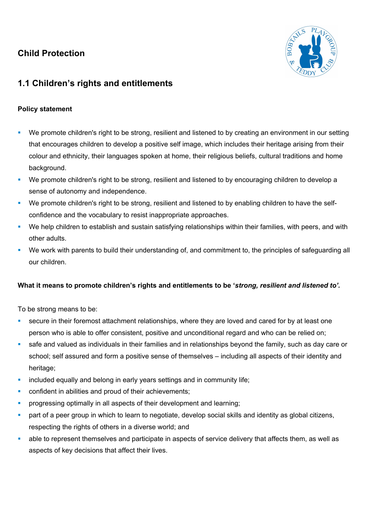## **Child Protection**



## **1.1 Children's rights and entitlements**

## **Policy statement**

- We promote children's right to be strong, resilient and listened to by creating an environment in our setting that encourages children to develop a positive self image, which includes their heritage arising from their colour and ethnicity, their languages spoken at home, their religious beliefs, cultural traditions and home background.
- We promote children's right to be strong, resilient and listened to by encouraging children to develop a sense of autonomy and independence.
- We promote children's right to be strong, resilient and listened to by enabling children to have the selfconfidence and the vocabulary to resist inappropriate approaches.
- We help children to establish and sustain satisfying relationships within their families, with peers, and with other adults.
- ! We work with parents to build their understanding of, and commitment to, the principles of safeguarding all our children.

## **What it means to promote children's rights and entitlements to be '***strong, resilient and listened to'.*

To be strong means to be:

- secure in their foremost attachment relationships, where they are loved and cared for by at least one person who is able to offer consistent, positive and unconditional regard and who can be relied on;
- ! safe and valued as individuals in their families and in relationships beyond the family, such as day care or school; self assured and form a positive sense of themselves – including all aspects of their identity and heritage:
- **.** included equally and belong in early years settings and in community life;
- confident in abilities and proud of their achievements;
- progressing optimally in all aspects of their development and learning;
- part of a peer group in which to learn to negotiate, develop social skills and identity as global citizens, respecting the rights of others in a diverse world; and
- ! able to represent themselves and participate in aspects of service delivery that affects them, as well as aspects of key decisions that affect their lives.